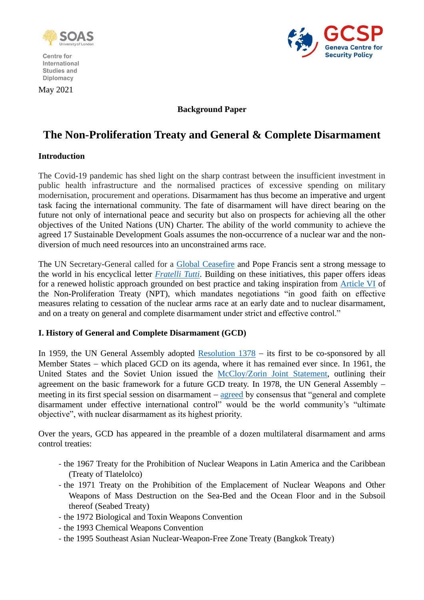

Centre for International Studies and Diplomacy

May 2021



## **Background Paper**

# **The Non-Proliferation Treaty and General & Complete Disarmament**

#### **Introduction**

The Covid-19 pandemic has shed light on the sharp contrast between the insufficient investment in public health infrastructure and the normalised practices of excessive spending on military modernisation, procurement and operations. Disarmament has thus become an imperative and urgent task facing the international community. The fate of disarmament will have direct bearing on the future not only of international peace and security but also on prospects for achieving all the other objectives of the United Nations (UN) Charter. The ability of the world community to achieve the agreed 17 Sustainable Development Goals assumes the non-occurrence of a nuclear war and the nondiversion of much need resources into an unconstrained arms race.

The UN Secretary-General called for a [Global Ceasefire](https://www.un.org/en/globalceasefire) and Pope Francis sent a strong message to the world in his encyclical letter *[Fratelli Tutti](http://www.vatican.va/content/francesco/en/encyclicals/documents/papa-francesco_20201003_enciclica-fratelli-tutti.html)*. Building on these initiatives, this paper offers ideas for a renewed holistic approach grounded on best practice and taking inspiration from [Article VI](https://www.un.org/disarmament/wmd/nuclear/npt/text) of the Non-Proliferation Treaty (NPT), which mandates negotiations "in good faith on effective measures relating to cessation of the nuclear arms race at an early date and to nuclear disarmament, and on a treaty on general and complete disarmament under strict and effective control."

#### **I. History of General and Complete Disarmament (GCD)**

In 1959, the UN General Assembly adopted [Resolution 1378](https://www.securitycouncilreport.org/atf/cf/%7B65BFCF9B-6D27-4E9C-8CD3-CF6E4FF96FF9%7D/Disarm%20ARES1378.pdf) − its first to be co-sponsored by all Member States – which placed GCD on its agenda, where it has remained ever since. In 1961, the United States and the Soviet Union issued the [McCloy/Zorin Joint Statement,](http://www.nucleardarkness.org/solutions/mccloyzorinaccordstext/) outlining their agreement on the basic framework for a future GCD treaty. In 1978, the UN General Assembly − meeting in its first special session on disarmament − [agreed](https://www.un.org/disarmament/wp-content/uploads/2017/05/A-S10-4.pdf) by consensus that "general and complete disarmament under effective international control" would be the world community's "ultimate objective", with nuclear disarmament as its highest priority.

Over the years, GCD has appeared in the preamble of a dozen multilateral disarmament and arms control treaties:

- the 1967 Treaty for the Prohibition of Nuclear Weapons in Latin America and the Caribbean (Treaty of Tlatelolco)
- the 1971 Treaty on the Prohibition of the Emplacement of Nuclear Weapons and Other Weapons of Mass Destruction on the Sea-Bed and the Ocean Floor and in the Subsoil thereof (Seabed Treaty)
- the 1972 Biological and Toxin Weapons Convention
- the 1993 Chemical Weapons Convention
- the 1995 Southeast Asian Nuclear-Weapon-Free Zone Treaty (Bangkok Treaty)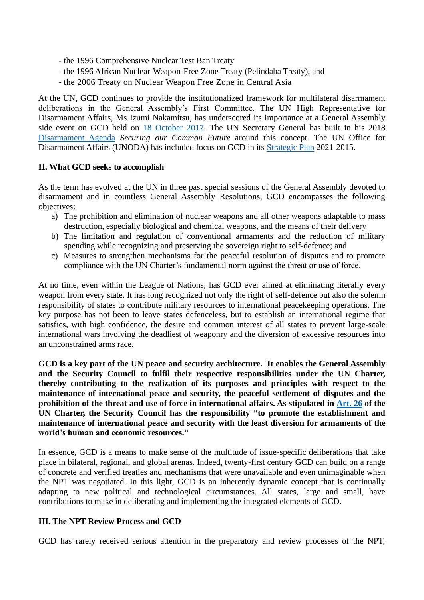- the 1996 Comprehensive Nuclear Test Ban Treaty
- the 1996 African Nuclear-Weapon-Free Zone Treaty (Pelindaba Treaty), and
- the 2006 Treaty on Nuclear Weapon Free Zone in Central Asia

At the UN, GCD continues to provide the institutionalized framework for multilateral disarmament deliberations in the General Assembly's First Committee. The UN High Representative for Disarmament Affairs, Ms Izumi Nakamitsu, has underscored its importance at a General Assembly side event on GCD held on [18 October 2017.](https://s3.amazonaws.com/unoda-web/wp-content/uploads/2017/10/hr-remarks-gdc-side-event-18-oct-2017-as-prepared.pdf) The UN Secretary General has built in his 2018 [Disarmament Agenda](https://www.un.org/disarmament/sg-agenda/en/) *Securing our Common Future* around this concept. The UN Office for Disarmament Affairs (UNODA) has included focus on GCD in its [Strategic Plan](https://front.un-arm.org/wp-content/uploads/2021/02/ODA-Strategic-Plan-2021-2025.pdf) 2021-2015.

#### **II. What GCD seeks to accomplish**

As the term has evolved at the UN in three past special sessions of the General Assembly devoted to disarmament and in countless General Assembly Resolutions, GCD encompasses the following objectives:

- a) The prohibition and elimination of nuclear weapons and all other weapons adaptable to mass destruction, especially biological and chemical weapons, and the means of their delivery
- b) The limitation and regulation of conventional armaments and the reduction of military spending while recognizing and preserving the sovereign right to self-defence; and
- c) Measures to strengthen mechanisms for the peaceful resolution of disputes and to promote compliance with the UN Charter's fundamental norm against the threat or use of force.

At no time, even within the League of Nations, has GCD ever aimed at eliminating literally every weapon from every state. It has long recognized not only the right of self-defence but also the solemn responsibility of states to contribute military resources to international peacekeeping operations. The key purpose has not been to leave states defenceless, but to establish an international regime that satisfies, with high confidence, the desire and common interest of all states to prevent large-scale international wars involving the deadliest of weaponry and the diversion of excessive resources into an unconstrained arms race.

**GCD is a key part of the UN peace and security architecture. It enables the General Assembly and the Security Council to fulfil their respective responsibilities under the UN Charter, thereby contributing to the realization of its purposes and principles with respect to the maintenance of international peace and security, the peaceful settlement of disputes and the prohibition of the threat and use of force in international affairs. As stipulated in [Art. 26](https://legal.un.org/repertory/art26.shtml) of the UN Charter, the Security Council has the responsibility "to promote the establishment and maintenance of international peace and security with the least diversion for armaments of the world's human and economic resources."**

In essence, GCD is a means to make sense of the multitude of issue-specific deliberations that take place in bilateral, regional, and global arenas. Indeed, twenty-first century GCD can build on a range of concrete and verified treaties and mechanisms that were unavailable and even unimaginable when the NPT was negotiated. In this light, GCD is an inherently dynamic concept that is continually adapting to new political and technological circumstances. All states, large and small, have contributions to make in deliberating and implementing the integrated elements of GCD.

### **III. The NPT Review Process and GCD**

GCD has rarely received serious attention in the preparatory and review processes of the NPT,